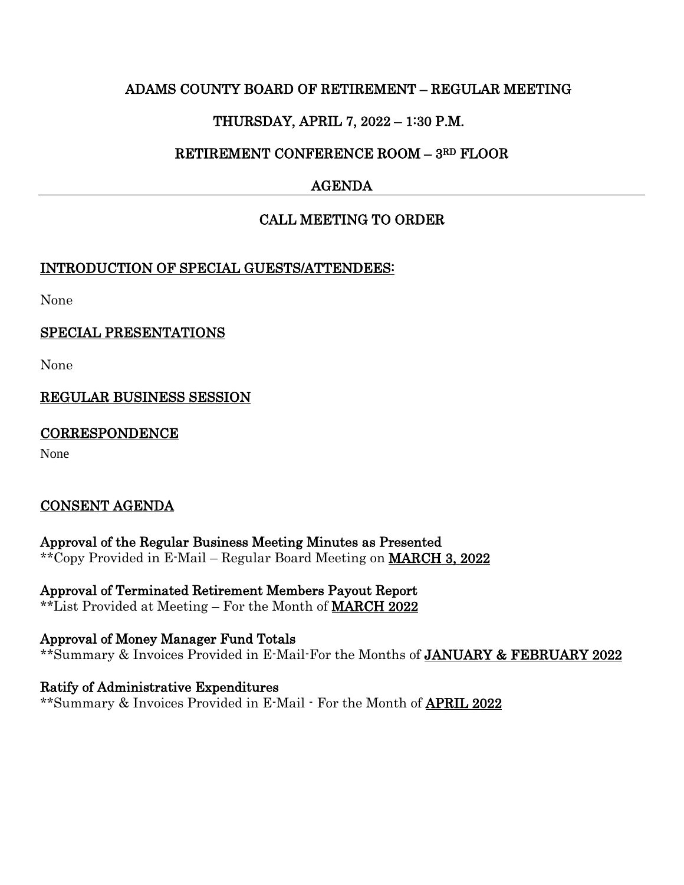### ADAMS COUNTY BOARD OF RETIREMENT – REGULAR MEETING

# THURSDAY, APRIL 7, 2022 – 1:30 P.M.

### RETIREMENT CONFERENCE ROOM – 3RD FLOOR

# AGENDA

# CALL MEETING TO ORDER

### INTRODUCTION OF SPECIAL GUESTS/ATTENDEES:

None

### SPECIAL PRESENTATIONS

None

# REGULAR BUSINESS SESSION

### **CORRESPONDENCE**

None

# CONSENT AGENDA

Approval of the Regular Business Meeting Minutes as Presented \*\*Copy Provided in E-Mail – Regular Board Meeting on MARCH 3, 2022

Approval of Terminated Retirement Members Payout Report \*\*List Provided at Meeting – For the Month of MARCH 2022

Approval of Money Manager Fund Totals \*\*Summary & Invoices Provided in E-Mail-For the Months of JANUARY & FEBRUARY 2022

Ratify of Administrative Expenditures \*\*Summary & Invoices Provided in E-Mail - For the Month of APRIL 2022